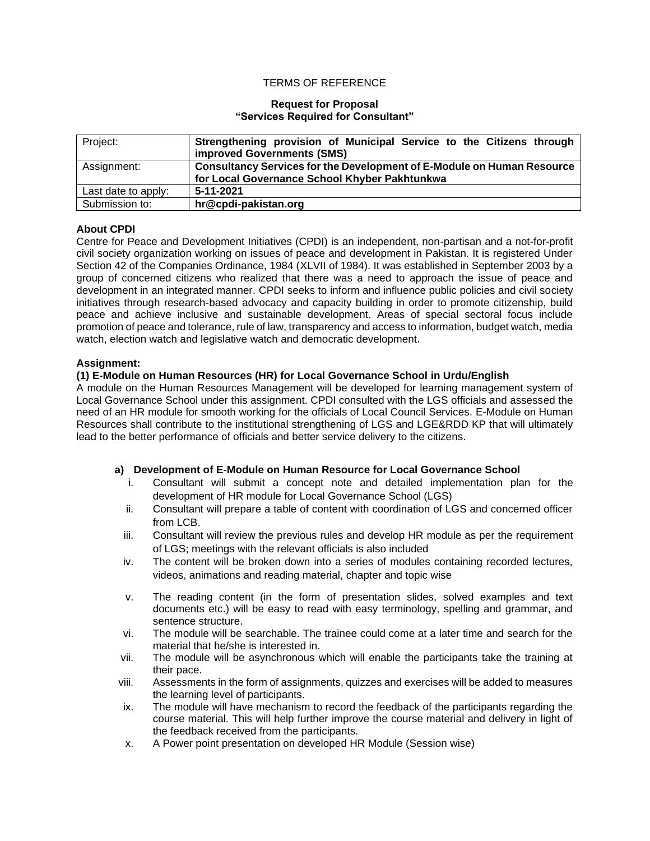### TERMS OF REFERENCE

#### **Request for Proposal "Services Required for Consultant"**

| Project:            | Strengthening provision of Municipal Service to the Citizens through<br>improved Governments (SMS) |  |  |
|---------------------|----------------------------------------------------------------------------------------------------|--|--|
| Assignment:         | Consultancy Services for the Development of E-Module on Human Resource                             |  |  |
|                     | for Local Governance School Khyber Pakhtunkwa                                                      |  |  |
| Last date to apply: | 5-11-2021                                                                                          |  |  |
| Submission to:      | hr@cpdi-pakistan.org                                                                               |  |  |

# **About CPDI**

Centre for Peace and Development Initiatives (CPDI) is an independent, non-partisan and a not-for-profit civil society organization working on issues of peace and development in Pakistan. It is registered Under Section 42 of the Companies Ordinance, 1984 (XLVII of 1984). It was established in September 2003 by a group of concerned citizens who realized that there was a need to approach the issue of peace and development in an integrated manner. CPDI seeks to inform and influence public policies and civil society initiatives through research-based advocacy and capacity building in order to promote citizenship, build peace and achieve inclusive and sustainable development. Areas of special sectoral focus include promotion of peace and tolerance, rule of law, transparency and access to information, budget watch, media watch, election watch and legislative watch and democratic development.

### **Assignment:**

## **(1) E-Module on Human Resources (HR) for Local Governance School in Urdu/English**

A module on the Human Resources Management will be developed for learning management system of Local Governance School under this assignment. CPDI consulted with the LGS officials and assessed the need of an HR module for smooth working for the officials of Local Council Services. E-Module on Human Resources shall contribute to the institutional strengthening of LGS and LGE&RDD KP that will ultimately lead to the better performance of officials and better service delivery to the citizens.

### **a) Development of E-Module on Human Resource for Local Governance School**

- i. Consultant will submit a concept note and detailed implementation plan for the development of HR module for Local Governance School (LGS)
- ii. Consultant will prepare a table of content with coordination of LGS and concerned officer from LCB.
- iii. Consultant will review the previous rules and develop HR module as per the requirement of LGS; meetings with the relevant officials is also included
- iv. The content will be broken down into a series of modules containing recorded lectures, videos, animations and reading material, chapter and topic wise
- v. The reading content (in the form of presentation slides, solved examples and text documents etc.) will be easy to read with easy terminology, spelling and grammar, and sentence structure.
- vi. The module will be searchable. The trainee could come at a later time and search for the material that he/she is interested in.
- vii. The module will be asynchronous which will enable the participants take the training at their pace.
- viii. Assessments in the form of assignments, quizzes and exercises will be added to measures the learning level of participants.
- ix. The module will have mechanism to record the feedback of the participants regarding the course material. This will help further improve the course material and delivery in light of the feedback received from the participants.
- x. A Power point presentation on developed HR Module (Session wise)